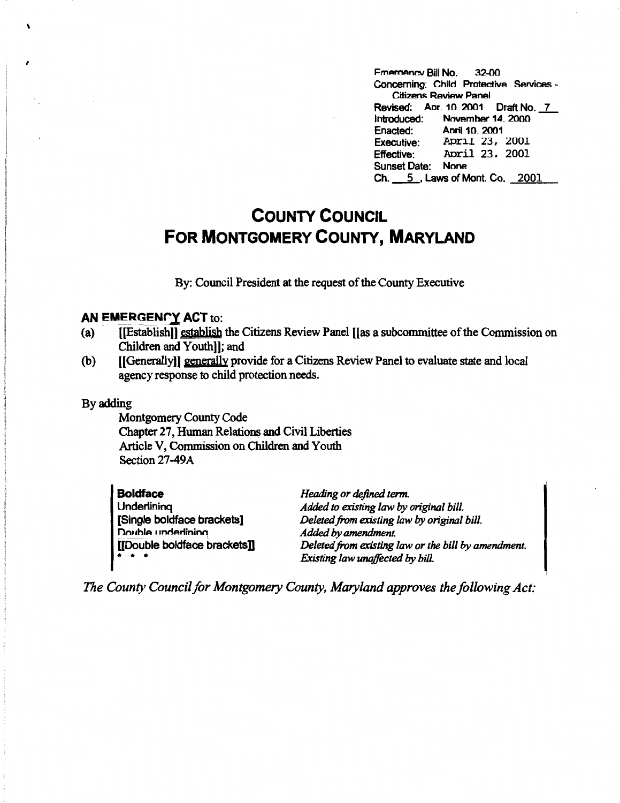Fmamancy Bill No. 32-00 Concerning: Child Protective Services -**Citizens Review Panel** Revised: Anr. 10. 2001 Draft No. 7 Introduced: November 14. 2000 Enacted: Anril 10. 2001 Executive: P.pril 23, 2001 Effective: Aoril 23. 2001 Sunset Date: None Ch. 5, Laws of Mont. Co. 2001

## **COUNTY COUNCIL FOR MONTGOMERY COUNTY, MARYLAND**

By: Council President at the request of the County Executive

## **AN EMERGENCY ACT to:**

- (a) ((Establish]} establish the Citizens Review Panel (las a subcommittee of the Commission on Children and Youth]]; and
- {b) ((Generally]] generally provide for a Citizens Review Panel to evaluate state and local agency response to child protection needs.

By adding

Montgomery County Code Chapter 27, Human Relations and Civil Liberties Article V, Commission on Children and Youth Section 27-49A

| <b>Boldface</b>                                                          | Heading or defined term.                            |
|--------------------------------------------------------------------------|-----------------------------------------------------|
| Underlining                                                              | Added to existing law by original bill.             |
| [Single boldface brackets]                                               | Deleted from existing law by original bill.         |
| Double underlining                                                       | Added by amendment.                                 |
| [[Double boldface brackets]]                                             | Deleted from existing law or the bill by amendment. |
| $\bullet\hspace{0.4cm}\bullet\hspace{0.4cm}\bullet\hspace{0.4cm}\bullet$ | Existing law unaffected by bill.                    |

*The County Council for Montgomery County, Maryland approves the following Act:*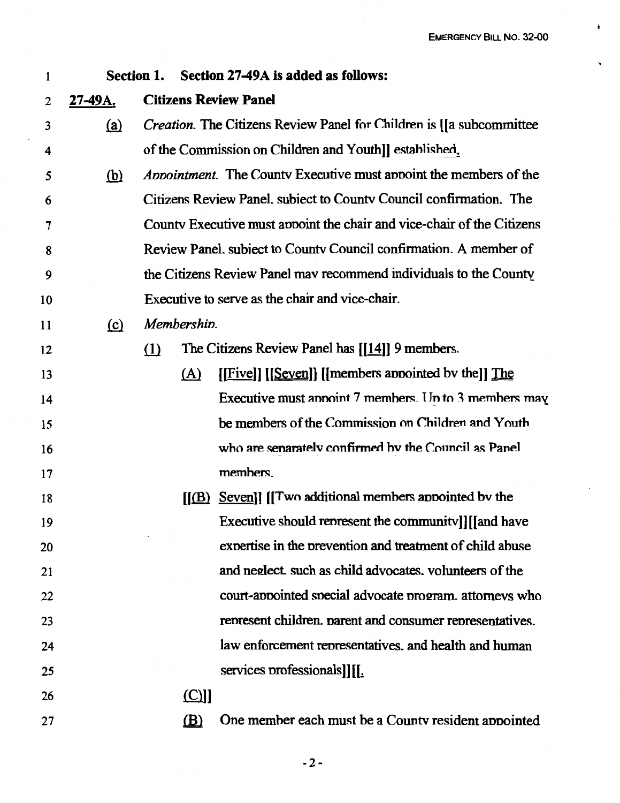Á

 $\tilde{\phantom{a}}$ 

| 1  | Section 1. |                              | Section 27-49A is added as follows:                                      |
|----|------------|------------------------------|--------------------------------------------------------------------------|
| 2  | 27-49A.    | <b>Citizens Review Panel</b> |                                                                          |
| 3  | (a)        |                              | Creation. The Citizens Review Panel for Children is [[a subcommittee     |
| 4  |            |                              | of the Commission on Children and Youth]] established.                   |
| 5  | <u>(b)</u> |                              | <i>Appointment.</i> The County Executive must appoint the members of the |
| 6  |            |                              | Citizens Review Panel, subject to County Council confirmation. The       |
| 7  |            |                              | County Executive must appoint the chair and vice-chair of the Citizens   |
| 8  |            |                              | Review Panel. subject to County Council confirmation. A member of        |
| 9  |            |                              | the Citizens Review Panel may recommend individuals to the County        |
| 10 |            |                              | Executive to serve as the chair and vice-chair.                          |
| 11 | $\Omega$   | Membership.                  |                                                                          |
| 12 |            | (1)                          | The Citizens Review Panel has [[14]] 9 members.                          |
| 13 |            | (A)                          | [[Five]] [[Seven]] [[members appointed by the]] The                      |
| 14 |            |                              | Executive must annoint 7 members. Un to 3 members may                    |
| 15 |            |                              | be members of the Commission on Children and Youth                       |
| 16 |            |                              | who are senarately confirmed by the Council as Panel                     |
| 17 |            |                              | members.                                                                 |
| 18 |            |                              | $[(B)$ Seven]] $[Tw \circ additional$ members appointed by the           |
| 19 |            |                              | Executive should represent the community]][[and have                     |
| 20 |            |                              | expertise in the prevention and treatment of child abuse                 |
| 21 |            |                              | and neglect, such as child advocates, volunteers of the                  |
| 22 |            |                              | court-appointed special advocate program, attorneys who                  |
| 23 |            |                              | represent children, parent and consumer representatives.                 |
| 24 |            |                              | law enforcement representatives, and health and human                    |
| 25 |            |                              | services professionals]][[.                                              |
| 26 |            | $\Box$ ]                     |                                                                          |
| 27 |            | $\mathbf{B}$                 | One member each must be a County resident appointed                      |

-2-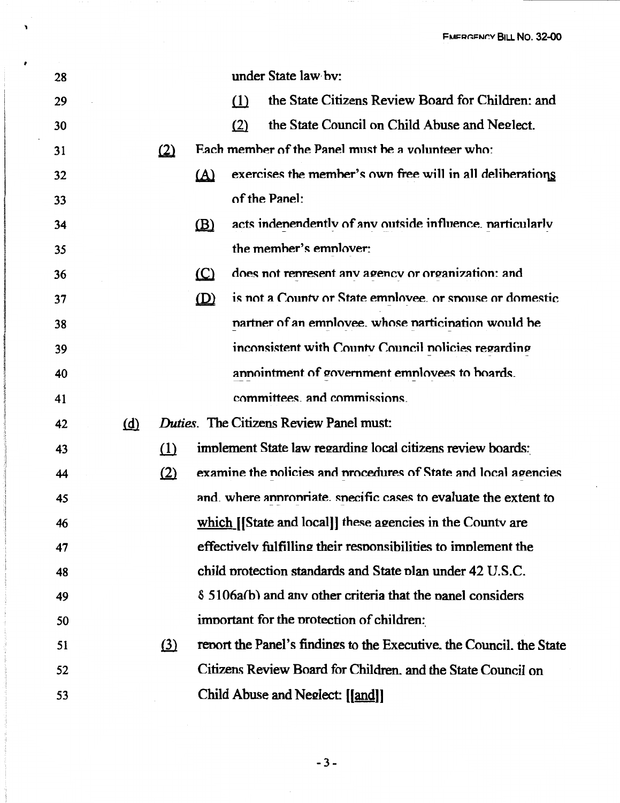**FMFRGFNCY BILL NO. 32-00** 

| 28 |              |          |                                         |          | under State law by:                                                  |
|----|--------------|----------|-----------------------------------------|----------|----------------------------------------------------------------------|
| 29 |              |          |                                         | $\Omega$ | the State Citizens Review Board for Children: and                    |
| 30 |              |          |                                         | (2)      | the State Council on Child Abuse and Neglect.                        |
| 31 |              | $\Omega$ |                                         |          | Each member of the Panel must be a volunteer who:                    |
| 32 |              |          | $\Delta$                                |          | exercises the member's own free will in all deliberations            |
| 33 |              |          |                                         |          | of the Panel:                                                        |
| 34 |              |          | (B)                                     |          | acts indenendently of any outside influence, narticularly            |
| 35 |              |          |                                         |          | the member's employer:                                               |
| 36 |              |          | $(\mathbb{C})$                          |          | does not represent any agency or organization: and                   |
| 37 |              |          | $\boldsymbol{\textcircled{\textsc{D}}}$ |          | is not a County or State employee. or spouse or domestic             |
| 38 |              |          |                                         |          | nartner of an employee, whose particination would be                 |
| 39 |              |          |                                         |          | inconsistent with County Council nolicies regarding                  |
| 40 |              |          |                                         |          | annointment of government emnlovees to boards.                       |
| 41 |              |          |                                         |          | committees, and commissions.                                         |
| 42 | ( <u>d</u> ) |          |                                         |          | Duties. The Citizens Review Panel must:                              |
| 43 |              | $\Omega$ |                                         |          | implement State law regarding local citizens review boards:          |
| 44 |              | (2)      |                                         |          | examine the nolicies and procedures of State and local agencies      |
| 45 |              |          |                                         |          | and, where annronriate, snecific cases to evaluate the extent to     |
| 46 |              |          |                                         |          | which [[State and local]] these agencies in the County are           |
| 47 |              |          |                                         |          | effectively fulfilling their responsibilities to implement the       |
| 48 |              |          |                                         |          | child protection standards and State plan under 42 U.S.C.            |
| 49 |              |          |                                         |          | § 5106a(b) and any other criteria that the panel considers           |
| 50 |              |          |                                         |          | important for the protection of children:                            |
| 51 |              | (3)      |                                         |          | report the Panel's findings to the Executive, the Council, the State |
| 52 |              |          |                                         |          | Citizens Review Board for Children. and the State Council on         |
| 53 |              |          |                                         |          | Child Abuse and Neglect: [[and]]                                     |

 $\lambda$ 

 $\lambda$ 

 $-3-$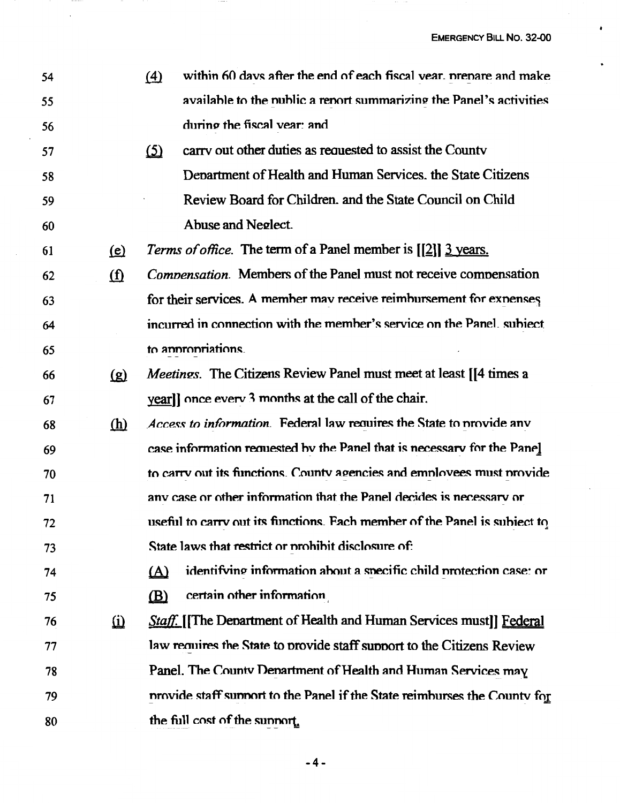within 60 days after the end of each fiscal year, prepare and make 54  $(4)$ available to the public a report summarizing the Panel's activities 55 during the fiscal year: and 56 carry out other duties as requested to assist the County  $(5)$ 57 Department of Health and Human Services, the State Citizens 58 Review Board for Children, and the State Council on Child 59 Abuse and Neglect. 60 *Terms of office.* The term of a Panel member is [[2]] 3 years.  $(e)$ 61 *Compensation* Members of the Panel must not receive compensation  $(f)$ 62 for their services. A member may receive reimbursement for expenses 63 incurred in connection with the member's service on the Panel, subject 64 to appropriations. 65 *Meetings.* The Citizens Review Panel must meet at least [14 times a  $(g)$ 66 vearll once every 3 months at the call of the chair. 67 *Access to information.* Federal law requires the State to provide any (h) 68 case information requested by the Panel that is necessary for the Panel 69 to carry out its functions. County agencies and employees must provide 70 any case or other information that the Panel decides is necessary or 71 useful to carry out its functions. Each member of the Panel is subject to 72 State laws that restrict or prohibit disclosure of: 73 identifying information about a specific child protection case: or 74  $(A)$ certain other information **(B)** 75 Staff. IIThe Department of Health and Human Services must]] Federal 76  $(i)$ law requires the State to provide staff support to the Citizens Review 77 78 Panel. The County Department of Health and Human Services may provide staff support to the Panel if the State reimburses the County for 79 the full cost of the support. 80

 $-4-$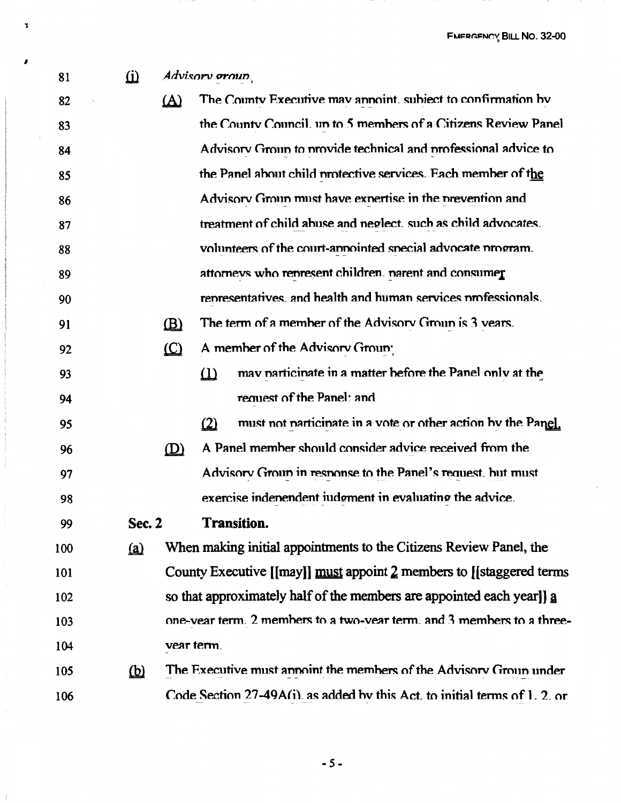81

ĭ

 $\pmb{\prime}$ 

 $\mathbf{i}$ 

## $\hat{\mathbf{u}}$ Advisory oroun

| 82  |                               | $\Delta$     | The County Executive may annoint, subject to confirmation by                     |
|-----|-------------------------------|--------------|----------------------------------------------------------------------------------|
| 83  |                               |              | the County Council. un to 5 members of a Citizens Review Panel                   |
| 84  |                               |              | Advisory Group to provide technical and professional advice to                   |
| 85  |                               |              | the Panel about child protective services. Each member of the                    |
| 86  |                               |              | Advisory Group must have expertise in the prevention and                         |
| 87  |                               |              | treatment of child abuse and neglect, such as child advocates.                   |
| 88  |                               |              | volunteers of the court-annointed special advocate program.                      |
| 89  |                               |              | attornevs who represent children. parent and consumer                            |
| 90  |                               |              | representatives, and health and human services professionals.                    |
| 91  |                               | $\mathbf{B}$ | The term of a member of the Advisory Group is 3 years.                           |
| 92  |                               | $\Omega$     | A member of the Advisory Group:                                                  |
| 93  |                               |              | may narticinate in a matter before the Panel only at the<br>$\omega$             |
| 94  |                               |              | request of the Panel: and                                                        |
| 95  |                               |              | must not narticinate in a vote or other action by the Panel.<br>$\Omega$         |
| 96  |                               | $\mathbf{D}$ | A Panel member should consider advice received from the                          |
| 97  |                               |              | Advisory Group in response to the Panel's request, but must                      |
| 98  |                               |              | exercise indenendent iudement in evaluating the advice.                          |
| 99  | Sec. 2                        |              | <b>Transition.</b>                                                               |
| 100 | (a)                           |              | When making initial appointments to the Citizens Review Panel, the               |
| 101 |                               |              | County Executive [[may]] $\frac{must}{x}$ appoint 2 members to [[staggered terms |
| 102 |                               |              | so that approximately half of the members are appointed each yearll a            |
| 103 |                               |              | one-vear term. 2 members to a two-vear term, and 3 members to a three-           |
| 104 |                               |              | vear term.                                                                       |
| 105 | $\mathbf{\underline{\omega}}$ |              | The Executive must annoint the members of the Advisory Groun under               |
| 106 |                               |              | Code Section 27-49A(i) as added by this Act, to initial terms of 1, 2, or        |

 $-5-$